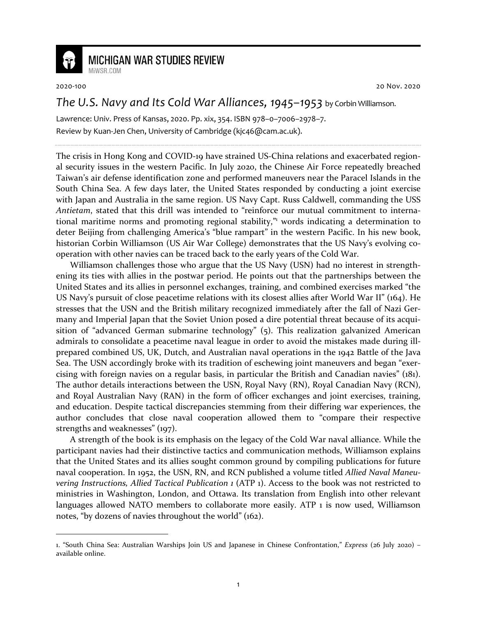

## **MICHIGAN WAR STUDIES REVIEW**

MiWSR COM

2020-100 20 Nov. 2020

## *The U.S. Navy and Its Cold War Alliances, 1945–1953* by Corbin Williamson.

Lawrence: Univ. Press of Kansas, 2020. Pp. xix, 354. ISBN 978–0–7006–2978–7. Review by Kuan-Jen Chen, University of Cambridge (kjc46@cam.ac.uk).

The crisis in Hong Kong and COVID-19 have strained US-China relations and exacerbated regional security issues in the western Pacific. In July 2020, the Chinese Air Force repeatedly breached Taiwan's air defense identification zone and performed maneuvers near the Paracel Islands in the South China Sea. A few days later, the United States responded by conducting a joint exercise with Japan and Australia in the same region. US Navy Capt. Russ Caldwell, commanding the USS *Antietam*, stated that this drill was intended to "reinforce our mutual commitment to international maritime norms and promoting regional stability," words indicating a determination to deter Beijing from challenging America's "blue rampart" in the western Pacific. In his new book, historian Corbin Williamson (US Air War College) demonstrates that the US Navy's evolving cooperation with other navies can be traced back to the early years of the Cold War.

Williamson challenges those who argue that the US Navy (USN) had no interest in strengthening its ties with allies in the postwar period. He points out that the partnerships between the United States and its allies in personnel exchanges, training, and combined exercises marked "the US Navy's pursuit of close peacetime relations with its closest allies after World War II" (164). He stresses that the USN and the British military recognized immediately after the fall of Nazi Germany and Imperial Japan that the Soviet Union posed a dire potential threat because of its acquisition of "advanced German submarine technology" (5). This realization galvanized American admirals to consolidate a peacetime naval league in order to avoid the mistakes made during illprepared combined US, UK, Dutch, and Australian naval operations in the 1942 Battle of the Java Sea. The USN accordingly broke with its tradition of eschewing joint maneuvers and began "exercising with foreign navies on a regular basis, in particular the British and Canadian navies" (181). The author details interactions between the USN, Royal Navy (RN), Royal Canadian Navy (RCN), and Royal Australian Navy (RAN) in the form of officer exchanges and joint exercises, training, and education. Despite tactical discrepancies stemming from their differing war experiences, the author concludes that close naval cooperation allowed them to "compare their respective strengths and weaknesses" (197).

A strength of the book is its emphasis on the legacy of the Cold War naval alliance. While the participant navies had their distinctive tactics and communication methods, Williamson explains that the United States and its allies sought common ground by compiling publications for future naval cooperation. In 1952, the USN, RN, and RCN published a volume titled *Allied Naval Maneuvering Instructions, Allied Tactical Publication 1* (ATP 1). Access to the book was not restricted to ministries in Washington, London, and Ottawa. Its translation from English into other relevant languages allowed NATO members to collaborate more easily. ATP 1 is now used, Williamson notes, "by dozens of navies throughout the world" (162).

<sup>1. &</sup>quot;South China Sea: Australian Warships Join US and Japanese in Chinese Confrontation," *Express* (26 July 2020) – available online.